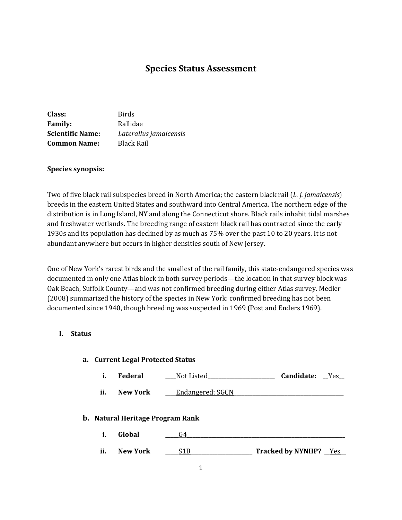# **Species Status Assessment**

| Class:                  | <b>Birds</b>           |
|-------------------------|------------------------|
| <b>Family:</b>          | Rallidae               |
| <b>Scientific Name:</b> | Laterallus jamaicensis |
| <b>Common Name:</b>     | Black Rail             |

#### **Species synopsis:**

Two of five black rail subspecies breed in North America; the eastern black rail (*L. j. jamaicensis*) breeds in the eastern United States and southward into Central America. The northern edge of the distribution is in Long Island, NY and along the Connecticut shore. Black rails inhabit tidal marshes and freshwater wetlands. The breeding range of eastern black rail has contracted since the early 1930s and its population has declined by as much as 75% over the past 10 to 20 years. It is not abundant anywhere but occurs in higher densities south of New Jersey.

One of New York's rarest birds and the smallest of the rail family, this state-endangered species was documented in only one Atlas block in both survey periods—the location in that survey block was Oak Beach, Suffolk County—and was not confirmed breeding during either Atlas survey. Medler (2008) summarized the history of the species in New York: confirmed breeding has not been documented since 1940, though breeding was suspected in 1969 (Post and Enders 1969).

#### **I. Status**

#### **a. Current Legal Protected Status**

|  | <b>Federal</b> | Not Listed | Candidate: | Yes |
|--|----------------|------------|------------|-----|
|--|----------------|------------|------------|-----|

**ii.** New York <u>Lendangered; SGCN</u>

### **b. Natural Heritage Program Rank**

- **i. Global \_\_\_\_\_**G4**\_\_\_\_\_\_\_\_\_\_\_\_\_\_\_\_\_\_\_\_\_\_\_\_\_\_\_\_\_\_\_\_\_\_\_\_\_\_\_\_\_\_\_\_\_\_\_\_\_\_\_\_\_\_\_\_\_\_\_**
- **ii. New York \_\_\_\_\_**S1B**\_\_\_\_\_\_\_\_\_\_\_\_\_\_\_\_\_\_\_\_\_\_\_ Tracked by NYNHP? \_\_**Yes**\_\_**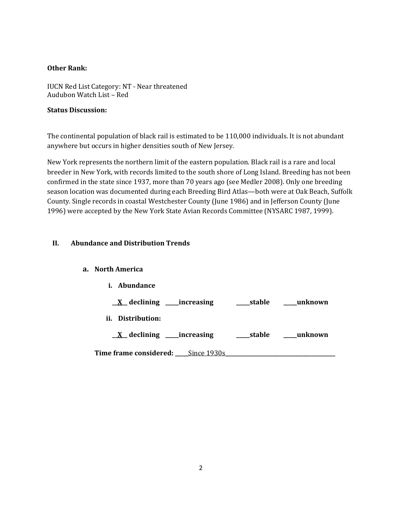### **Other Rank:**

IUCN Red List Category: NT - Near threatened Audubon Watch List – Red

## **Status Discussion:**

The continental population of black rail is estimated to be 110,000 individuals. It is not abundant anywhere but occurs in higher densities south of New Jersey.

New York represents the northern limit of the eastern population. Black rail is a rare and local breeder in New York, with records limited to the south shore of Long Island. Breeding has not been confirmed in the state since 1937, more than 70 years ago (see Medler 2008). Only one breeding season location was documented during each Breeding Bird Atlas—both were at Oak Beach, Suffolk County. Single records in coastal Westchester County (June 1986) and in Jefferson County (June 1996) were accepted by the New York State Avian Records Committee (NYSARC 1987, 1999).

# **II. Abundance and Distribution Trends**

# **a. North America**

| <i>i.</i> Abundance                        |        |         |
|--------------------------------------------|--------|---------|
| $\underline{X}$ declining _____ increasing | stable | unknown |
| ii.<br>Distribution:                       |        |         |
| $X$ declining ______ increasing            | stable | unknown |
| <b>Time frame considered:</b> Since 1930s  |        |         |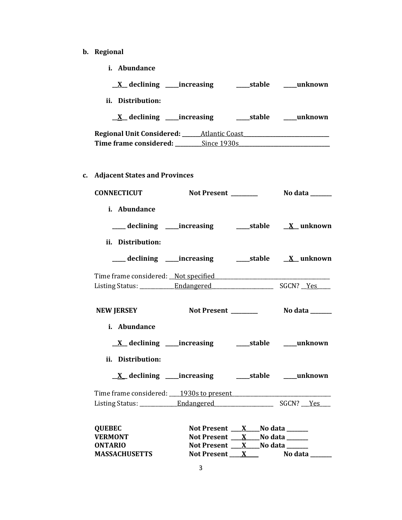- **b. Regional**
	- **i. Abundance**

| $\underline{X}$ declining ______ increasing |             | stable | unknown |
|---------------------------------------------|-------------|--------|---------|
| ii. Distribution:                           |             |        |         |
| $\underline{X}$ declining ______ increasing |             | stable | unknown |
|                                             |             |        |         |
| Time frame considered:                      | Since 1930s |        |         |

**c. Adjacent States and Provinces**

| <b>CONNECTICUT</b>                      |                                                             |  |
|-----------------------------------------|-------------------------------------------------------------|--|
| i. Abundance                            |                                                             |  |
| ii. Distribution:                       |                                                             |  |
|                                         |                                                             |  |
|                                         |                                                             |  |
|                                         |                                                             |  |
| <b>NEW JERSEY</b>                       |                                                             |  |
| i. Abundance                            |                                                             |  |
|                                         |                                                             |  |
| ii. Distribution:                       |                                                             |  |
|                                         | <u>X</u> declining ____increasing ______stable _____unknown |  |
| Time frame considered: 1930s to present |                                                             |  |
|                                         |                                                             |  |
| <b>QUEBEC</b>                           | Not Present X No data                                       |  |
| <b>VERMONT</b>                          | Not Present $X$ No data $Z$                                 |  |
| <b>ONTARIO</b>                          | Not Present X No data                                       |  |
| <b>MASSACHUSETTS</b>                    | Not Present X                                               |  |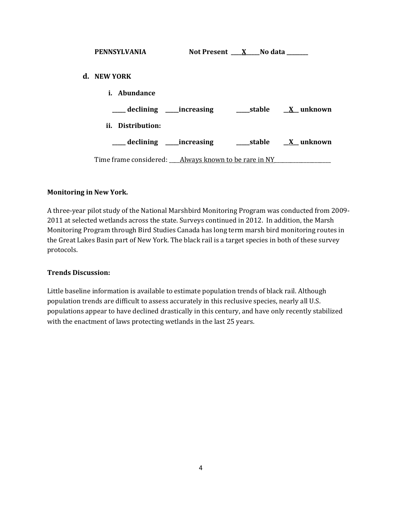| <b>PENNSYLVANIA</b>             | Not Present $X$ No data |                  |
|---------------------------------|-------------------------|------------------|
| d. NEW YORK                     |                         |                  |
| i. Abundance                    |                         |                  |
| ____ declining _____ increasing |                         | stable X unknown |
| ii. Distribution:               |                         |                  |
| ____ declining ____ increasing  |                         | stable X unknown |
|                                 |                         |                  |

#### **Monitoring in New York.**

A three-year pilot study of the National Marshbird Monitoring Program was conducted from 2009- 2011 at selected wetlands across the state. Surveys continued in 2012. In addition, the Marsh Monitoring Program through Bird Studies Canada has long term marsh bird monitoring routes in the Great Lakes Basin part of New York. The black rail is a target species in both of these survey protocols.

#### **Trends Discussion:**

Little baseline information is available to estimate population trends of black rail. Although population trends are difficult to assess accurately in this reclusive species, nearly all U.S. populations appear to have declined drastically in this century, and have only recently stabilized with the enactment of laws protecting wetlands in the last 25 years.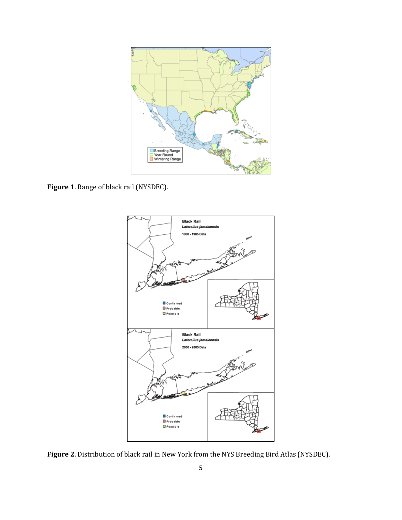

**Figure 1**. Range of black rail (NYSDEC).



**Figure 2**. Distribution of black rail in New York from the NYS Breeding Bird Atlas (NYSDEC).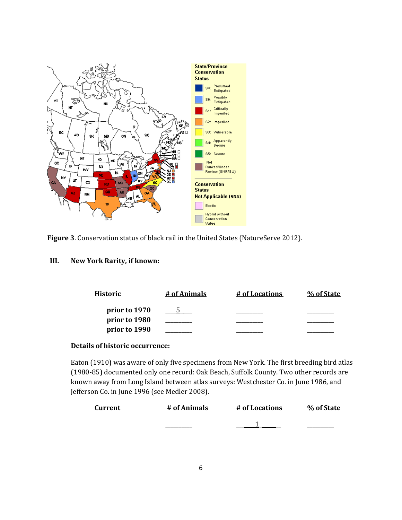

**Figure 3**. Conservation status of black rail in the United States (NatureServe 2012).

## **III. New York Rarity, if known:**

| Historic      | # of Animals | # of Locations | % of State |
|---------------|--------------|----------------|------------|
| prior to 1970 |              |                |            |
| prior to 1980 |              |                |            |
| prior to 1990 |              |                |            |

### **Details of historic occurrence:**

Eaton (1910) was aware of only five specimens from New York. The first breeding bird atlas (1980-85) documented only one record: Oak Beach, Suffolk County. Two other records are known away from Long Island between atlas surveys: Westchester Co. in June 1986, and Jefferson Co. in June 1996 (see Medler 2008).

| <b>Current</b> | # of Animals | # of Locations | % of State |
|----------------|--------------|----------------|------------|
|                |              |                |            |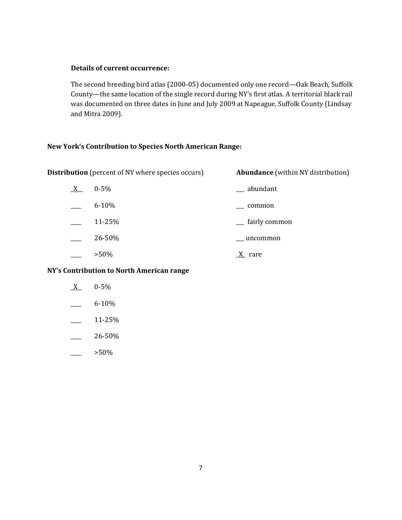## **Details of current occurrence:**

The second breeding bird atlas (2000-05) documented only one record—Oak Beach, Suffolk County—the same location of the single record during NY's first atlas. A territorial black rail was documented on three dates in June and July 2009 at Napeague, Suffolk County (Lindsay and Mitra 2009).

## **New York's Contribution to Species North American Range:**

| <b>Distribution</b> (percent of NY where species occurs) |
|----------------------------------------------------------|
|----------------------------------------------------------|

**Abundance** (within NY distribution)

| X | $0 - 5\%$ | __ abundant   |
|---|-----------|---------------|
|   | $6 - 10%$ | common        |
|   | 11-25%    | fairly common |
|   | 26-50%    | uncommon      |
|   | $>50\%$   | rare          |

# **NY's Contribution to North American range**

| 0-5%   |
|--------|
| 6-10%  |
| 11-25% |
| 26-50% |

 $>50\%$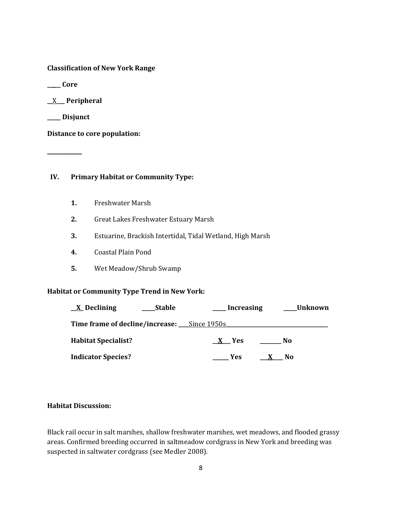**Classification of New York Range**

**\_\_\_\_\_ Core**

**\_\_**X**\_\_\_ Peripheral**

**\_\_\_\_\_ Disjunct**

**\_\_\_\_\_\_\_\_\_\_\_**

**Distance to core population:**

### **IV. Primary Habitat or Community Type:**

- **1.** Freshwater Marsh
- **2.** Great Lakes Freshwater Estuary Marsh
- **3.** Estuarine, Brackish Intertidal, Tidal Wetland, High Marsh
- **4.** Coastal Plain Pond
- **5.** Wet Meadow/Shrub Swamp

#### **Habitat or Community Type Trend in New York:**

| $\underline{X}$ Declining                          | <b>Stable</b> | Increasing | Unknown        |
|----------------------------------------------------|---------------|------------|----------------|
| <b>Time frame of decline/increase:</b> Since 1950s |               |            |                |
| <b>Habitat Specialist?</b>                         |               | X Yes      | N0             |
| <b>Indicator Species?</b>                          |               | Yes        | N <sub>0</sub> |

## **Habitat Discussion:**

Black rail occur in salt marshes, shallow freshwater marshes, wet meadows, and flooded grassy areas. Confirmed breeding occurred in saltmeadow cordgrass in New York and breeding was suspected in saltwater cordgrass (see Medler 2008).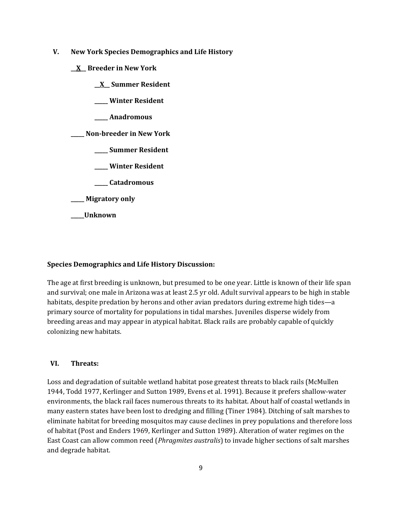- **V. New York Species Demographics and Life History**
	- **\_\_X\_\_ Breeder in New York**
		- **\_\_X\_\_ Summer Resident**
		- **\_\_\_\_\_ Winter Resident**
		- **\_\_\_\_\_ Anadromous**

**\_\_\_\_\_ Non-breeder in New York**

- **\_\_\_\_\_ Summer Resident**
- **\_\_\_\_\_ Winter Resident**
- **\_\_\_\_\_ Catadromous**
- **\_\_\_\_\_ Migratory only**
- **\_\_\_\_\_Unknown**

### **Species Demographics and Life History Discussion:**

The age at first breeding is unknown, but presumed to be one year. Little is known of their life span and survival; one male in Arizona was at least 2.5 yr old. Adult survival appears to be high in stable habitats, despite predation by herons and other avian predators during extreme high tides—a primary source of mortality for populations in tidal marshes. Juveniles disperse widely from breeding areas and may appear in atypical habitat. Black rails are probably capable of quickly colonizing new habitats.

### **VI. Threats:**

Loss and degradation of suitable wetland habitat pose greatest threats to black rails (McMullen 1944, Todd 1977, Kerlinger and Sutton 1989, Evens et al. 1991). Because it prefers shallow-water environments, the black rail faces numerous threats to its habitat. About half of coastal wetlands in many eastern states have been lost to dredging and filling (Tiner 1984). Ditching of salt marshes to eliminate habitat for breeding mosquitos may cause declines in prey populations and therefore loss of habitat (Post and Enders 1969, Kerlinger and Sutton 1989). Alteration of water regimes on the East Coast can allow common reed (*Phragmites australis*) to invade higher sections of salt marshes and degrade habitat.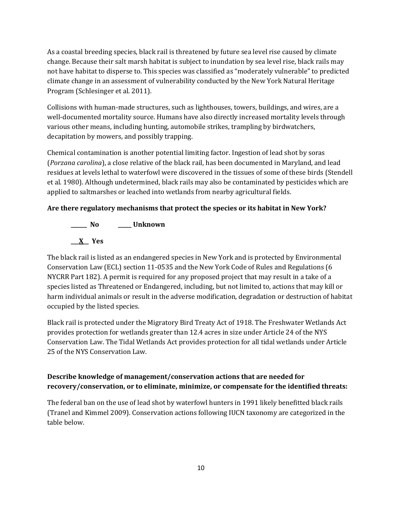As a coastal breeding species, black rail is threatened by future sea level rise caused by climate change. Because their salt marsh habitat is subject to inundation by sea level rise, black rails may not have habitat to disperse to. This species was classified as "moderately vulnerable" to predicted climate change in an assessment of vulnerability conducted by the New York Natural Heritage Program (Schlesinger et al. 2011).

Collisions with human-made structures, such as lighthouses, towers, buildings, and wires, are a well-documented mortality source. Humans have also directly increased mortality levels through various other means, including hunting, automobile strikes, trampling by birdwatchers, decapitation by mowers, and possibly trapping.

Chemical contamination is another potential limiting factor. Ingestion of lead shot by soras (*Porzana carolina*), a close relative of the black rail, has been documented in Maryland, and lead residues at levels lethal to waterfowl were discovered in the tissues of some of these birds (Stendell et al. 1980). Although undetermined, black rails may also be contaminated by pesticides which are applied to saltmarshes or leached into wetlands from nearby agricultural fields.

# **Are there regulatory mechanisms that protect the species or its habitat in New York?**



The black rail is listed as an endangered species in New York and is protected by Environmental Conservation Law (ECL) section 11-0535 and the New York Code of Rules and Regulations (6 NYCRR Part 182). A permit is required for any proposed project that may result in a take of a species listed as Threatened or Endangered, including, but not limited to, actions that may kill or harm individual animals or result in the adverse modification, degradation or destruction of habitat occupied by the listed species.

Black rail is protected under the Migratory Bird Treaty Act of 1918. The Freshwater Wetlands Act provides protection for wetlands greater than 12.4 acres in size under Article 24 of the NYS Conservation Law. The Tidal Wetlands Act provides protection for all tidal wetlands under Article 25 of the NYS Conservation Law.

# **Describe knowledge of management/conservation actions that are needed for recovery/conservation, or to eliminate, minimize, or compensate for the identified threats:**

The federal ban on the use of lead shot by waterfowl hunters in 1991 likely benefitted black rails (Tranel and Kimmel 2009). Conservation actions following IUCN taxonomy are categorized in the table below.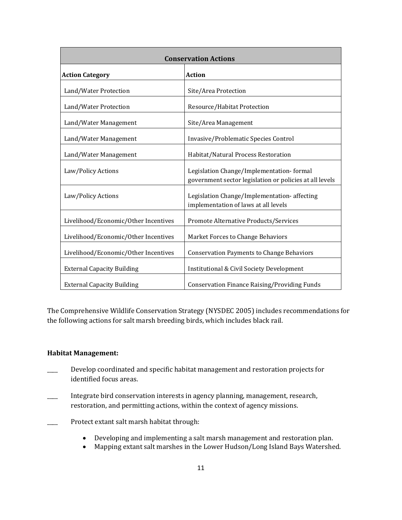| <b>Conservation Actions</b>          |                                                                                                     |
|--------------------------------------|-----------------------------------------------------------------------------------------------------|
| <b>Action Category</b>               | <b>Action</b>                                                                                       |
| Land/Water Protection                | Site/Area Protection                                                                                |
| Land/Water Protection                | Resource/Habitat Protection                                                                         |
| Land/Water Management                | Site/Area Management                                                                                |
| Land/Water Management                | Invasive/Problematic Species Control                                                                |
| Land/Water Management                | Habitat/Natural Process Restoration                                                                 |
| Law/Policy Actions                   | Legislation Change/Implementation-formal<br>government sector legislation or policies at all levels |
| Law/Policy Actions                   | Legislation Change/Implementation-affecting<br>implementation of laws at all levels                 |
| Livelihood/Economic/Other Incentives | Promote Alternative Products/Services                                                               |
| Livelihood/Economic/Other Incentives | Market Forces to Change Behaviors                                                                   |
| Livelihood/Economic/Other Incentives | <b>Conservation Payments to Change Behaviors</b>                                                    |
| <b>External Capacity Building</b>    | Institutional & Civil Society Development                                                           |
| <b>External Capacity Building</b>    | <b>Conservation Finance Raising/Providing Funds</b>                                                 |

The Comprehensive Wildlife Conservation Strategy (NYSDEC 2005) includes recommendations for the following actions for salt marsh breeding birds, which includes black rail.

### **Habitat Management:**

- Develop coordinated and specific habitat management and restoration projects for identified focus areas.
- Integrate bird conservation interests in agency planning, management, research, restoration, and permitting actions, within the context of agency missions.
- Protect extant salt marsh habitat through:
	- Developing and implementing a salt marsh management and restoration plan.
	- Mapping extant salt marshes in the Lower Hudson/Long Island Bays Watershed.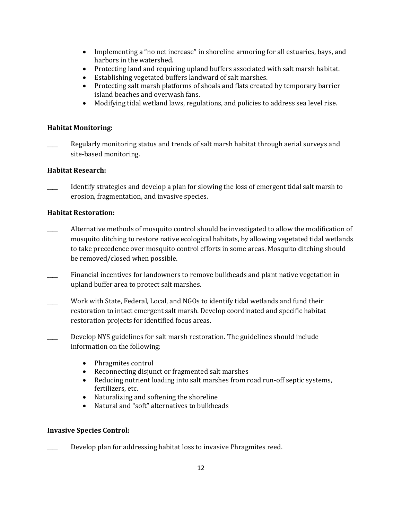- Implementing a "no net increase" in shoreline armoring for all estuaries, bays, and harbors in the watershed.
- Protecting land and requiring upland buffers associated with salt marsh habitat.
- Establishing vegetated buffers landward of salt marshes.
- Protecting salt marsh platforms of shoals and flats created by temporary barrier island beaches and overwash fans.
- Modifying tidal wetland laws, regulations, and policies to address sea level rise.

# **Habitat Monitoring:**

Regularly monitoring status and trends of salt marsh habitat through aerial surveys and site-based monitoring.

## **Habitat Research:**

Identify strategies and develop a plan for slowing the loss of emergent tidal salt marsh to erosion, fragmentation, and invasive species.

## **Habitat Restoration:**

- Alternative methods of mosquito control should be investigated to allow the modification of mosquito ditching to restore native ecological habitats, by allowing vegetated tidal wetlands to take precedence over mosquito control efforts in some areas. Mosquito ditching should be removed/closed when possible.
- Financial incentives for landowners to remove bulkheads and plant native vegetation in upland buffer area to protect salt marshes.
- Work with State, Federal, Local, and NGOs to identify tidal wetlands and fund their restoration to intact emergent salt marsh. Develop coordinated and specific habitat restoration projects for identified focus areas.
- \_\_\_\_ Develop NYS guidelines for salt marsh restoration. The guidelines should include information on the following:
	- Phragmites control
	- Reconnecting disjunct or fragmented salt marshes
	- Reducing nutrient loading into salt marshes from road run-off septic systems, fertilizers, etc.
	- Naturalizing and softening the shoreline
	- Natural and "soft" alternatives to bulkheads

### **Invasive Species Control:**

Develop plan for addressing habitat loss to invasive Phragmites reed.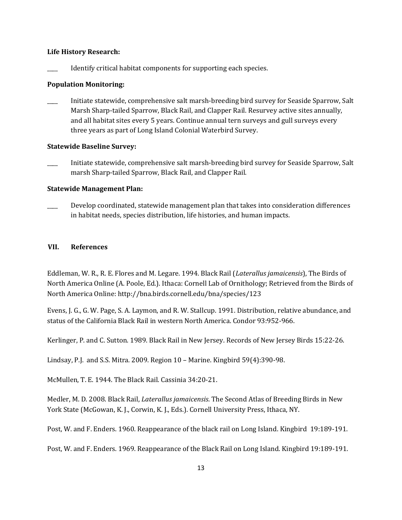#### **Life History Research:**

Identify critical habitat components for supporting each species.

#### **Population Monitoring:**

\_\_\_\_ Initiate statewide, comprehensive salt marsh-breeding bird survey for Seaside Sparrow, Salt Marsh Sharp-tailed Sparrow, Black Rail, and Clapper Rail. Resurvey active sites annually, and all habitat sites every 5 years. Continue annual tern surveys and gull surveys every three years as part of Long Island Colonial Waterbird Survey.

#### **Statewide Baseline Survey:**

\_\_\_\_ Initiate statewide, comprehensive salt marsh-breeding bird survey for Seaside Sparrow, Salt marsh Sharp-tailed Sparrow, Black Rail, and Clapper Rail.

#### **Statewide Management Plan:**

Develop coordinated, statewide management plan that takes into consideration differences in habitat needs, species distribution, life histories, and human impacts.

### **VII. References**

Eddleman, W. R., R. E. Flores and M. Legare. 1994. Black Rail (*Laterallus jamaicensis*), The Birds of North America Online (A. Poole, Ed.). Ithaca: Cornell Lab of Ornithology; Retrieved from the Birds of North America Online: http://bna.birds.cornell.edu/bna/species/123

Evens, J. G., G. W. Page, S. A. Laymon, and R. W. Stallcup. 1991. Distribution, relative abundance, and status of the California Black Rail in western North America. Condor 93:952-966.

Kerlinger, P. and C. Sutton. 1989. Black Rail in New Jersey. Records of New Jersey Birds 15:22-26.

Lindsay, P.J. and S.S. Mitra. 2009. Region 10 – Marine. Kingbird 59(4):390-98.

McMullen, T. E. 1944. The Black Rail. Cassinia 34:20-21.

Medler, M. D. 2008. Black Rail, *Laterallus jamaicensis*. The Second Atlas of Breeding Birds in New York State (McGowan, K. J., Corwin, K. J., Eds.). Cornell University Press, Ithaca, NY.

Post, W. and F. Enders. 1960. Reappearance of the black rail on Long Island. Kingbird 19:189-191.

Post, W. and F. Enders. 1969. Reappearance of the Black Rail on Long Island. Kingbird 19:189-191.